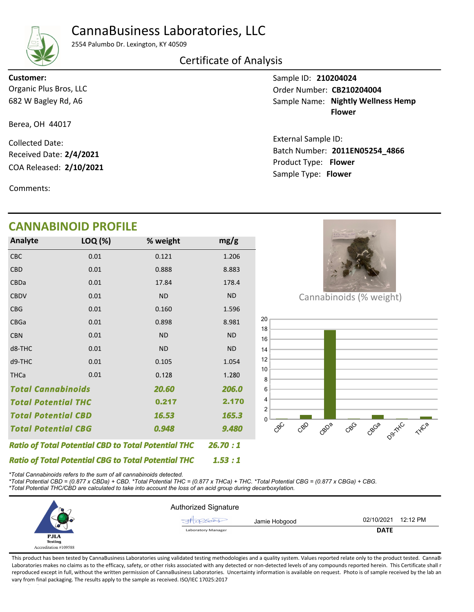# CannaBusiness Laboratories, LLC



2554 Palumbo Dr. Lexington, KY 40509

### Certificate of Analysis

682 W Bagley Rd, A6 Organic Plus Bros, LLC

Berea, OH 44017

COA Released: 2/10/2021 Collected Date: Product Type: Flower 2/10/2021 Received Date: 2/4/2021

Comments:

## CANNABINOID PROFILE

| <b>Analyte</b>                                             | LOQ (%)   | % weight  | mg/g      |
|------------------------------------------------------------|-----------|-----------|-----------|
| <b>CBC</b>                                                 | 0.01      | 0.121     | 1.206     |
| <b>CBD</b>                                                 | 0.01      | 0.888     | 8.883     |
| CBDa                                                       | 0.01      | 17.84     | 178.4     |
| <b>CBDV</b>                                                | 0.01      | <b>ND</b> | <b>ND</b> |
| <b>CBG</b>                                                 | 0.01      | 0.160     | 1.596     |
| <b>CBGa</b>                                                | 0.01      | 0.898     | 8.981     |
| <b>CBN</b>                                                 | 0.01      | <b>ND</b> | <b>ND</b> |
| d8-THC                                                     | 0.01      | <b>ND</b> | <b>ND</b> |
| d9-THC                                                     | 0.01      | 0.105     | 1.054     |
| <b>THCa</b>                                                | 0.01      | 0.128     | 1.280     |
| <b>Total Cannabinoids</b>                                  | 206.0     |           |           |
| <b>Total Potential THC</b>                                 |           | 0.217     | 2.170     |
| <b>Total Potential CBD</b>                                 |           | 16.53     | 165.3     |
| <b>Total Potential CBG</b>                                 | 0.948     | 9.480     |           |
| <b>Ratio of Total Potential CBD to Total Potential THC</b> | 26.70 : 1 |           |           |



Batch Number: 2011EN05254\_4866

Sample Name: Nightly Wellness Hemp Flower

Sample ID: 210204024

External Sample ID:

Sample Type: Flower

Order Number: CB210204004

Cannabinoids (% weight)



Ratio of Total Potential CBG to Total Potential THC \*Total Cannabinoids refers to the sum of all cannabinoids detected.

\*Total Potential CBD = (0.877 x CBDa) + CBD. \*Total Potential THC = (0.877 x THCa) + THC. \*Total Potential CBG = (0.877 x CBGa) + CBG. \*Total Potential THC/CBD are calculated to take into account the loss of an acid group during decarboxylation.



1.53 : 1

This product has been tested by CannaBusiness Laboratories using validated testing methodologies and a quality system. Values reported relate only to the product tested. CannaB Laboratories makes no claims as to the efficacy, safety, or other risks associated with any detected or non-detected levels of any compounds reported herein. This Certificate shall r reproduced except in full, without the written permission of CannaBusiness Laboratories. Uncertainty information is available on request. Photo is of sample received by the lab an vary from final packaging. The results apply to the sample as received. ISO/IEC 17025:2017

#### Customer: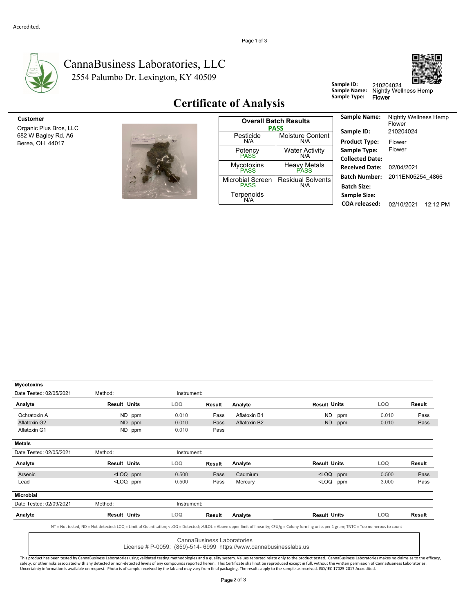

**Mycotoxins** 

#### 2554 Palumbo Dr. Lexington, KY 40509 CannaBusiness Laboratories, LLC



Sample ID: 210204024<br>Sample Name: Nightly Wel<br>Sample Type: Flower

Sample ID: 210204024<br>Sample Name: Nightly Wellness Hemp

## Certificate of Analysis

|  | thightly, viewers are finally<br><b>JOHNMANN JERG</b> |  |
|--|-------------------------------------------------------|--|
|  |                                                       |  |
|  |                                                       |  |
|  |                                                       |  |
|  |                                                       |  |
|  |                                                       |  |
|  |                                                       |  |

| Customer<br>Organic Plus Bros, LLC     |                                                                         | <b>Overall Batch Results</b><br><b>PASS</b> | <b>Sample Name:</b>                |                                           |
|----------------------------------------|-------------------------------------------------------------------------|---------------------------------------------|------------------------------------|-------------------------------------------|
| 682 W Bagley Rd, A6<br>Berea, OH 44017 | Nightly, Videos, any Prest.<br><b>CLAMBERS LITTLE !!</b>                | Pesticide<br>N/A                            | <b>Moisture Content</b><br>N/A     | Sample ID:<br><b>Product Type:</b>        |
|                                        |                                                                         | Potency<br><b>PASS</b>                      | <b>Water Activity</b><br>N/A       | Sample Type:<br><b>Collected Date</b>     |
|                                        |                                                                         | Mycotoxins<br>PASS                          | <b>Heavy Metals</b><br><b>PASS</b> | <b>Received Date</b>                      |
|                                        | $\sim 12$<br>10                                                         | <b>Microbial Screen</b><br><b>PASS</b>      | <b>Residual Solvents</b><br>N/A    | <b>Batch Number</b><br><b>Batch Size:</b> |
|                                        | and the half<br>$\rightarrow$ $\rightarrow$ $\rightarrow$ $\rightarrow$ | Terpenoids<br>N/A                           |                                    | <b>Sample Size:</b><br>$C0$ $A$ released: |

| <b>Sample Name:</b>    | Nightly Wellness Hemp<br>Flower |          |
|------------------------|---------------------------------|----------|
| Sample ID:             | 210204024                       |          |
| <b>Product Type:</b>   | Flower                          |          |
| Sample Type:           | Flower                          |          |
| <b>Collected Date:</b> |                                 |          |
| <b>Received Date:</b>  | 02/04/2021                      |          |
| <b>Batch Number:</b>   | 2011EN05254 4866                |          |
| <b>Batch Size:</b>     |                                 |          |
| <b>Sample Size:</b>    |                                 |          |
| COA released:          | 02/10/2021                      | 12.12 PM |

| Date Tested: 02/05/2021 | Method:                                                                                                                                                                                                    | Instrument: |                            |                                                                    |                                                            |     |            |        |
|-------------------------|------------------------------------------------------------------------------------------------------------------------------------------------------------------------------------------------------------|-------------|----------------------------|--------------------------------------------------------------------|------------------------------------------------------------|-----|------------|--------|
| Analyte                 | <b>Result Units</b>                                                                                                                                                                                        | LOQ.        | Result                     | Analyte                                                            | <b>Result Units</b>                                        |     | <b>LOQ</b> | Result |
| Ochratoxin A            | ND ppm                                                                                                                                                                                                     | 0.010       | Pass                       | Aflatoxin B1                                                       | ND.                                                        | ppm | 0.010      | Pass   |
| Aflatoxin G2            | ND ppm                                                                                                                                                                                                     | 0.010       | Pass                       | Aflatoxin B2                                                       | <b>ND</b>                                                  | ppm | 0.010      | Pass   |
| Aflatoxin G1            | ND ppm                                                                                                                                                                                                     | 0.010       | Pass                       |                                                                    |                                                            |     |            |        |
| <b>Metals</b>           |                                                                                                                                                                                                            |             |                            |                                                                    |                                                            |     |            |        |
| Date Tested: 02/05/2021 | Method:                                                                                                                                                                                                    | Instrument: |                            |                                                                    |                                                            |     |            |        |
| Analyte                 | <b>Result Units</b>                                                                                                                                                                                        | LOQ.        | Result                     | Analyte                                                            | <b>Result Units</b>                                        |     | <b>LOQ</b> | Result |
| Arsenic                 | <loq ppm<="" td=""><td>0.500</td><td>Pass</td><td>Cadmium</td><td><loq< td=""><td>ppm</td><td>0.500</td><td>Pass</td></loq<></td></loq>                                                                    | 0.500       | Pass                       | Cadmium                                                            | <loq< td=""><td>ppm</td><td>0.500</td><td>Pass</td></loq<> | ppm | 0.500      | Pass   |
| Lead                    | <loq ppm<="" td=""><td>0.500</td><td>Pass</td><td>Mercury</td><td><loq< td=""><td>ppm</td><td>3.000</td><td>Pass</td></loq<></td></loq>                                                                    | 0.500       | Pass                       | Mercury                                                            | <loq< td=""><td>ppm</td><td>3.000</td><td>Pass</td></loq<> | ppm | 3.000      | Pass   |
| Microbial               |                                                                                                                                                                                                            |             |                            |                                                                    |                                                            |     |            |        |
| Date Tested: 02/09/2021 | Method:                                                                                                                                                                                                    | Instrument: |                            |                                                                    |                                                            |     |            |        |
| Analyte                 | <b>Result Units</b>                                                                                                                                                                                        | LOQ.        | Result                     | Analyte                                                            | <b>Result Units</b>                                        |     | LOQ.       | Result |
|                         | NT = Not tested, ND = Not detected; LOQ = Limit of Quantitation; <loq =="" detected;="">ULOL = Above upper limit of linearity; CFU/g = Colony forming units per 1 gram; TNTC = Too numerous to count</loq> |             |                            |                                                                    |                                                            |     |            |        |
|                         |                                                                                                                                                                                                            |             | CannaBusiness Laboratories | License # P-0059: (859)-514- 6999 https://www.cannabusinesslabs.us |                                                            |     |            |        |

This product has been tested by CannaBusiness Laboratories using validated testing methodologies and a quality system. Values reported relate only to the product tested. CannaBusiness Laboratories makes no claims as to th Uncertainty information is available on request. Photo is of sample received by the lab and may vary from final packaging. The results apply to the sample as received. ISO/IEC 17025:2017 Accredited.